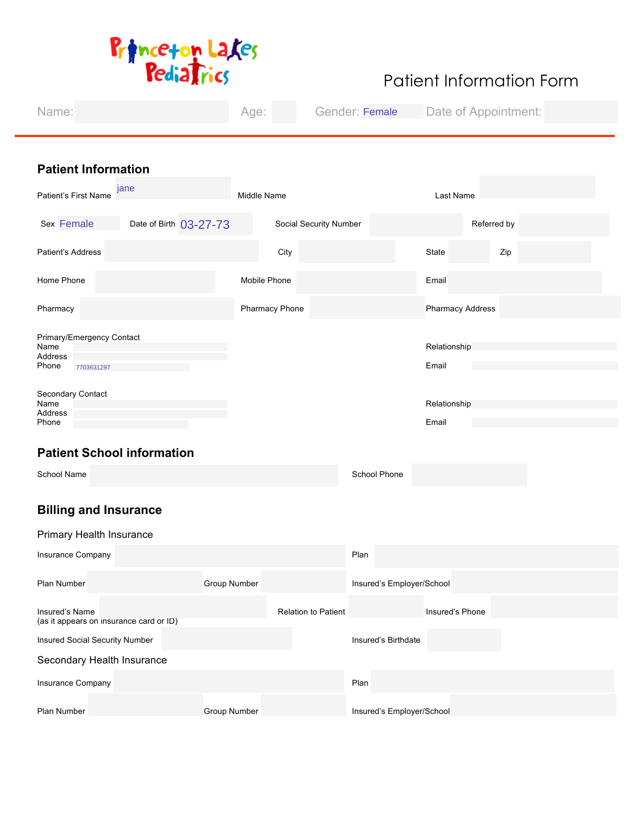

# Patient Information Form

| Name:                                                               | Age:                | Gender:                |                           | Date of Appointment:  |             |
|---------------------------------------------------------------------|---------------------|------------------------|---------------------------|-----------------------|-------------|
|                                                                     |                     |                        |                           |                       |             |
| <b>Patient Information</b>                                          |                     |                        |                           |                       |             |
| jane<br>Patient's First Name                                        | Middle Name         |                        |                           | Last Name             |             |
| <b>Sex Female</b><br>Date of Birth<br>$\vert \bm{\nabla} \vert$     |                     | Social Security Number |                           |                       | Referred by |
| Patient's Address                                                   |                     | City                   |                           | State                 | Zip         |
| Home Phone                                                          | Mobile Phone        |                        |                           | Email                 |             |
| Pharmacy                                                            |                     | Pharmacy Phone         |                           | Pharmacy Address      |             |
| Primary/Emergency Contact<br>Name<br>Address<br>Phone<br>7703631297 |                     |                        |                           | Relationship<br>Email |             |
| Secondary Contact<br>Name<br>Address<br>Phone                       |                     |                        |                           | Relationship<br>Email |             |
| <b>Patient School information</b>                                   |                     |                        |                           |                       |             |
| School Name                                                         |                     |                        | School Phone              |                       |             |
| <b>Billing and Insurance</b>                                        |                     |                        |                           |                       |             |
| Primary Health Insurance                                            |                     |                        |                           |                       |             |
| Insurance Company                                                   |                     |                        | Plan                      |                       |             |
| Plan Number                                                         | Group Number        |                        | Insured's Employer/School |                       |             |
| Insured's Name<br>(as it appears on insurance card or ID)           |                     | Relation to Patient    |                           | Insured's Phone       |             |
| Insured Social Security Number                                      |                     |                        | Insured's Birthdate       |                       |             |
| Secondary Health Insurance                                          |                     |                        |                           |                       |             |
| Insurance Company                                                   |                     |                        | Plan                      |                       |             |
| Plan Number                                                         | <b>Group Number</b> |                        | Insured's Employer/School |                       |             |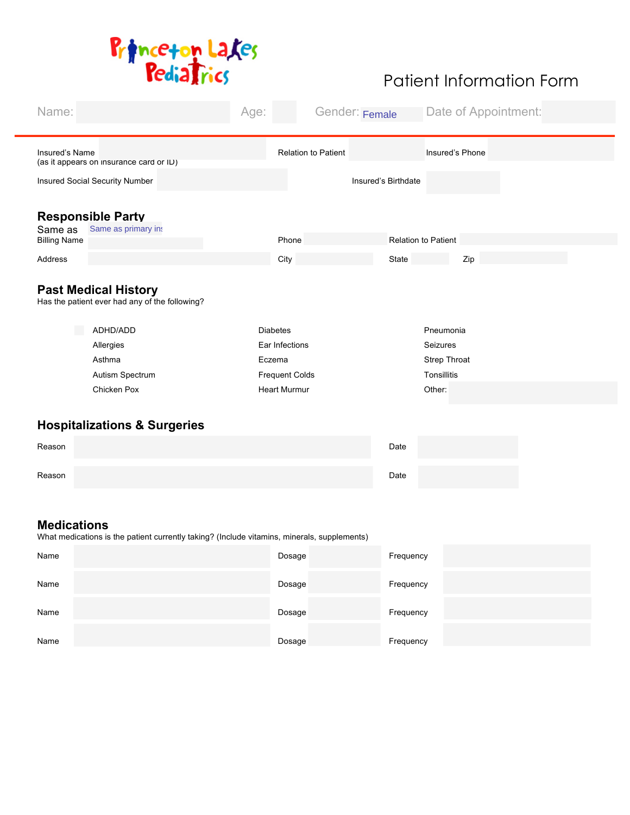

| Name:               |                                                                                             | Age: |                            | Gender: |                            | Date of Appointment:     |
|---------------------|---------------------------------------------------------------------------------------------|------|----------------------------|---------|----------------------------|--------------------------|
|                     |                                                                                             |      |                            |         |                            |                          |
| Insured's Name      | (as it appears on insurance card or ID)                                                     |      | <b>Relation to Patient</b> |         |                            | Insured's Phone          |
|                     | Insured Social Security Number                                                              |      |                            |         | Insured's Birthdate        |                          |
|                     |                                                                                             |      |                            |         |                            |                          |
|                     | <b>Responsible Party</b>                                                                    |      |                            |         |                            |                          |
| Same as             | Same as primar v                                                                            |      |                            |         |                            |                          |
| <b>Billing Name</b> |                                                                                             |      | Phone                      |         | <b>Relation to Patient</b> |                          |
| Address             |                                                                                             |      | City                       |         | State                      | Zip                      |
|                     | <b>Past Medical History</b><br>Has the patient ever had any of the following?               |      |                            |         |                            |                          |
|                     |                                                                                             |      |                            |         |                            |                          |
|                     | ADHD/ADD                                                                                    |      | <b>Diabetes</b>            |         |                            | Pneumonia                |
|                     | Allergies<br>Asthma                                                                         |      | Ear Infections<br>Eczema   |         |                            | Seizures<br>Strep Throat |
|                     | Autism Spectrum                                                                             |      | <b>Frequent Colds</b>      |         |                            | Tonsillitis              |
|                     | Chicken Pox                                                                                 |      | <b>Heart Murmur</b>        |         |                            | Other:                   |
|                     |                                                                                             |      |                            |         |                            |                          |
|                     | <b>Hospitalizations &amp; Surgeries</b>                                                     |      |                            |         |                            |                          |
| Reason              |                                                                                             |      |                            |         | Date                       |                          |
|                     |                                                                                             |      |                            |         |                            |                          |
| Reason              |                                                                                             |      |                            |         | Date                       |                          |
|                     |                                                                                             |      |                            |         |                            |                          |
| <b>Medications</b>  | What medications is the patient currently taking? (Include vitamins, minerals, supplements) |      |                            |         |                            |                          |
| Name                |                                                                                             |      | Dosage                     |         | Frequency                  |                          |
| Name                |                                                                                             |      | Dosage                     |         | Frequency                  |                          |
| Name                |                                                                                             |      | Dosage                     |         | Frequency                  |                          |
| Name                |                                                                                             |      | Dosage                     |         | Frequency                  |                          |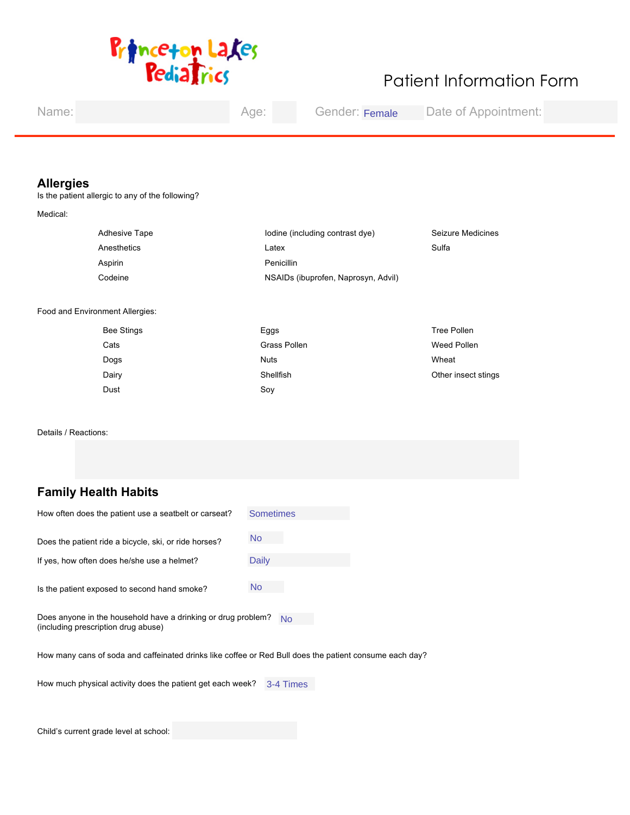

| Name:                                                                                                                                  | Age:                                                                       | Gender:                                                                | Date of Appointment:                                              |  |
|----------------------------------------------------------------------------------------------------------------------------------------|----------------------------------------------------------------------------|------------------------------------------------------------------------|-------------------------------------------------------------------|--|
| <b>Allergies</b><br>Is the patient allergic to any of the following?<br>Medical:<br>Adhesive Tape<br>Anesthetics<br>Aspirin<br>Codeine | Latex<br>Penicillin                                                        | Iodine (including contrast dye)<br>NSAIDs (ibuprofen, Naprosyn, Advil) | Seizure Medicines<br>Sulfa                                        |  |
| Food and Environment Allergies:<br><b>Bee Stings</b><br>$\blacksquare$<br>Cats<br>Dogs<br>Dairy<br>Dust<br>Details / Reactions:        | $\Box$ Eggs<br>Grass Pollen<br><b>Nuts</b><br>Shellfish<br>$\sqsupset$ Soy |                                                                        | <b>Tree Pollen</b><br>Weed Pollen<br>Wheat<br>Other insect stings |  |
|                                                                                                                                        |                                                                            |                                                                        |                                                                   |  |
| <b>Family Health Habits</b><br>How often does the patient use a seatbelt or carseat?                                                   | <b>Sometimes</b>                                                           | $\Box$                                                                 |                                                                   |  |
|                                                                                                                                        |                                                                            |                                                                        |                                                                   |  |
| Does the patient ride a bicycle, ski, or ride horses?                                                                                  | $No \t I$                                                                  |                                                                        |                                                                   |  |
| If yes, how often does he/she use a helmet?                                                                                            | <b>Daily</b>                                                               | $\blacktriangleright$                                                  |                                                                   |  |
| Is the patient exposed to second hand smoke?                                                                                           | $\Box$<br><b>No</b>                                                        |                                                                        |                                                                   |  |
| Does anyone in the household have a drinking or drug problem? $N_0$<br>(including prescription drug abuse)                             |                                                                            |                                                                        |                                                                   |  |

How many cans of soda and caffeinated drinks like coffee or Red Bull does the patient consume each day?

How much physical activity does the patient get each week? 3-4 Time

Child's current grade level at school: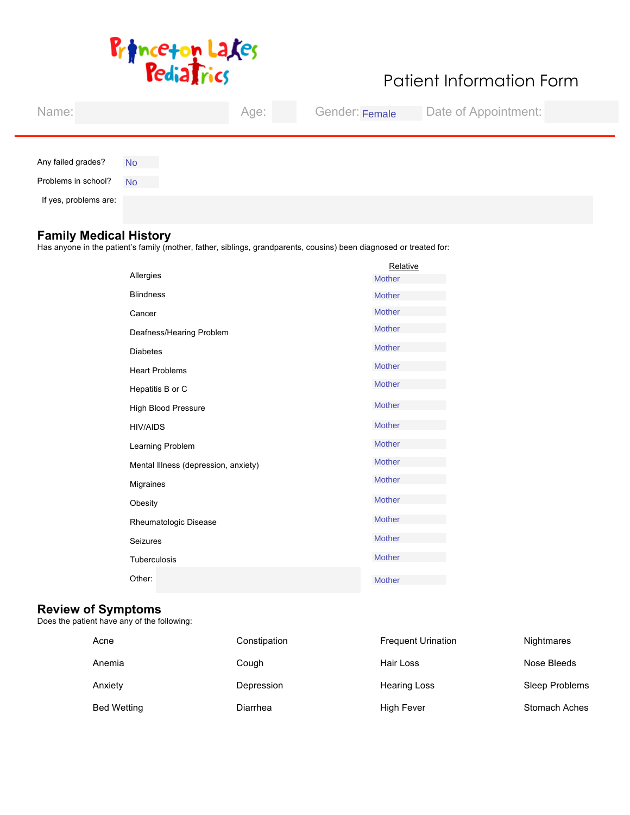

| Name:                 |             | Age: | Gender: | Date of Appointment: |
|-----------------------|-------------|------|---------|----------------------|
|                       |             |      |         |                      |
| Any failed grades?    | $No \t I$   |      |         |                      |
| Problems in school?   | $No$ $\Box$ |      |         |                      |
| If yes, problems are: |             |      |         |                      |

### **Family Medical History**

Has anyone in the patient's family (mother, father, siblings, grandparents, cousins) been diagnosed or treated for:

|                                      | Relative      |                       |
|--------------------------------------|---------------|-----------------------|
| Allergies                            | <b>Mother</b> | ⊡                     |
| <b>Blindness</b>                     | <b>Mother</b> | $\blacksquare$        |
| Cancer                               | <b>Mother</b> | $\blacksquare$        |
| Deafness/Hearing Problem             | <b>Mother</b> | $\blacksquare$        |
| <b>Diabetes</b>                      | <b>Mother</b> | $\blacksquare$        |
| <b>Heart Problems</b>                | <b>Mother</b> | $\blacksquare$        |
| Hepatitis B or C                     | <b>Mother</b> | $\blacksquare$        |
| <b>High Blood Pressure</b>           | <b>Mother</b> | $\blacksquare$        |
| <b>HIV/AIDS</b>                      | <b>Mother</b> | $\blacksquare$        |
| Learning Problem                     | <b>Mother</b> | $\blacksquare$        |
| Mental Illness (depression, anxiety) | <b>Mother</b> | $\blacksquare$        |
| <b>Migraines</b>                     | <b>Mother</b> | $\blacksquare$        |
| Obesity                              | <b>Mother</b> | $\blacksquare$        |
| Rheumatologic Disease                | <b>Mother</b> | $\blacksquare$        |
| Seizures                             | <b>Mother</b> | $\blacktriangleright$ |
| Tuberculosis                         | <b>Mother</b> | $\blacksquare$        |
| Other:                               | <b>Mother</b> | $\blacktriangledown$  |

### **Review of Symptoms**

Does the patient have any of the following:

| Acne               | Constipation | <b>Frequent Urination</b> | Nightmares            |
|--------------------|--------------|---------------------------|-----------------------|
| Anemia             | $\Box$ Cough | Hair Loss                 | Nose Bleeds           |
| Anxiety            | Depression   | <b>Hearing Loss</b>       | <b>Sleep Problems</b> |
| <b>Bed Wetting</b> | Diarrhea     | <b>High Fever</b>         | <b>Stomach Aches</b>  |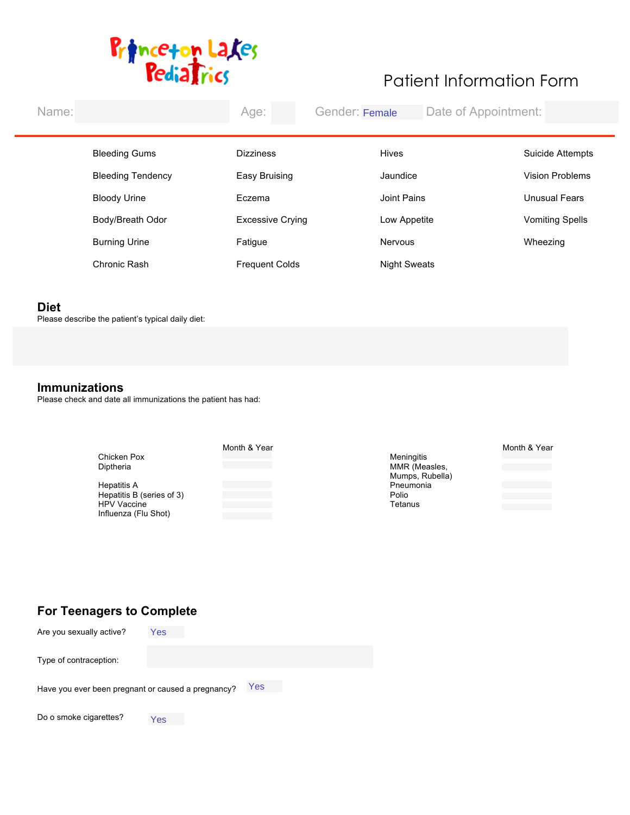

| Name:                    | Gender:<br>Age:                       | Date of Appointment: |                                      |
|--------------------------|---------------------------------------|----------------------|--------------------------------------|
|                          |                                       |                      |                                      |
| <b>Bleeding Gums</b>     | <b>Dizziness</b>                      | <b>Hives</b>         | Suicide Attempts                     |
| <b>Bleeding Tendency</b> | Easy Bruising                         | Jaundice             | <b>Vision Problems</b>               |
| <b>Bloody Urine</b>      | Eczema<br>$\mathbf{I}$                | Joint Pains          | <b>Unusual Fears</b><br>$\mathbf{I}$ |
| Body/Breath Odor         | <b>Excessive Crying</b>               | Low Appetite         | Vomiting Spells                      |
| <b>Burning Urine</b>     | <b>Fatigue</b>                        | Nervous              | Wheezing                             |
| Chronic Rash             | <b>Frequent Colds</b><br>$\mathbf{I}$ | <b>Night Sweats</b>  |                                      |
|                          |                                       |                      |                                      |

### **Diet**

Please describe the patient's typical daily diet:

### **Immunizations**

Please check and date all immunizations the patient has had:

|                           | Month & Year |                 | Month & Year |
|---------------------------|--------------|-----------------|--------------|
| Chicken Pox               |              | Meningitis      |              |
| Diptheria                 |              | MMR (Measles,   |              |
|                           |              | Mumps, Rubella) |              |
| Hepatitis A               |              | Pneumonia       |              |
| Hepatitis B (series of 3) |              | Polio           |              |
| <b>HPV Vaccine</b>        |              | Tetanus         |              |
| Influenza (Flu Shot)      |              |                 |              |
|                           |              |                 |              |

## **For Teenagers to Complete**